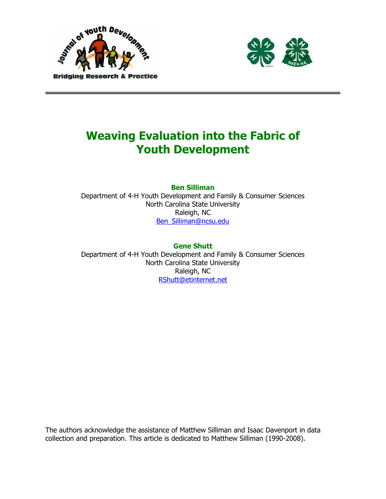



# Weaving Evaluation into the Fabric of Youth Development

Ben Silliman

Department of 4-H Youth Development and Family & Consumer Sciences North Carolina State University Raleigh, NC Ben\_Silliman@ncsu.edu

### Gene Shutt

Department of 4-H Youth Development and Family & Consumer Sciences North Carolina State University Raleigh, NC RShutt@etinternet.net

The authors acknowledge the assistance of Matthew Silliman and Isaac Davenport in data collection and preparation. This article is dedicated to Matthew Silliman (1990-2008).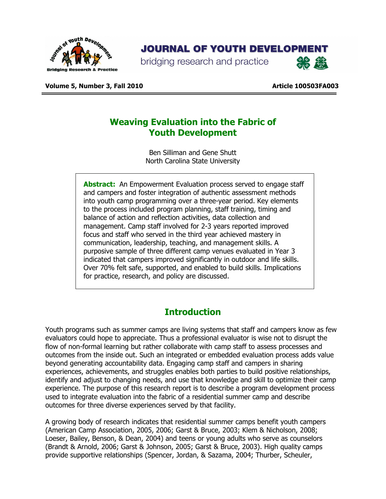

## **JOURNAL OF YOUTH DEVELOPMENT**

bridging research and practice



Volume 5, Number 3, Fall 2010 Article 100503FA003

## Weaving Evaluation into the Fabric of Youth Development

Ben Silliman and Gene Shutt North Carolina State University

Abstract: An Empowerment Evaluation process served to engage staff and campers and foster integration of authentic assessment methods into youth camp programming over a three-year period. Key elements to the process included program planning, staff training, timing and balance of action and reflection activities, data collection and management. Camp staff involved for 2-3 years reported improved focus and staff who served in the third year achieved mastery in communication, leadership, teaching, and management skills. A purposive sample of three different camp venues evaluated in Year 3 indicated that campers improved significantly in outdoor and life skills. Over 70% felt safe, supported, and enabled to build skills. Implications for practice, research, and policy are discussed.

## **Introduction**

Youth programs such as summer camps are living systems that staff and campers know as few evaluators could hope to appreciate. Thus a professional evaluator is wise not to disrupt the flow of non-formal learning but rather collaborate with camp staff to assess processes and outcomes from the inside out. Such an integrated or embedded evaluation process adds value beyond generating accountability data. Engaging camp staff and campers in sharing experiences, achievements, and struggles enables both parties to build positive relationships, identify and adjust to changing needs, and use that knowledge and skill to optimize their camp experience. The purpose of this research report is to describe a program development process used to integrate evaluation into the fabric of a residential summer camp and describe outcomes for three diverse experiences served by that facility.

A growing body of research indicates that residential summer camps benefit youth campers (American Camp Association, 2005, 2006; Garst & Bruce, 2003; Klem & Nicholson, 2008; Loeser, Bailey, Benson, & Dean, 2004) and teens or young adults who serve as counselors (Brandt & Arnold, 2006; Garst & Johnson, 2005; Garst & Bruce, 2003). High quality camps provide supportive relationships (Spencer, Jordan, & Sazama, 2004; Thurber, Scheuler,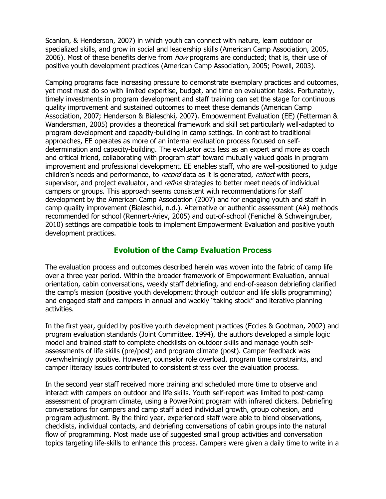Scanlon, & Henderson, 2007) in which youth can connect with nature, learn outdoor or specialized skills, and grow in social and leadership skills (American Camp Association, 2005, 2006). Most of these benefits derive from *how* programs are conducted; that is, their use of positive youth development practices (American Camp Association, 2005; Powell, 2003).

Camping programs face increasing pressure to demonstrate exemplary practices and outcomes, yet most must do so with limited expertise, budget, and time on evaluation tasks. Fortunately, timely investments in program development and staff training can set the stage for continuous quality improvement and sustained outcomes to meet these demands (American Camp Association, 2007; Henderson & Bialeschki, 2007). Empowerment Evaluation (EE) (Fetterman & Wandersman, 2005) provides a theoretical framework and skill set particularly well-adapted to program development and capacity-building in camp settings. In contrast to traditional approaches, EE operates as more of an internal evaluation process focused on selfdetermination and capacity-building. The evaluator acts less as an expert and more as coach and critical friend, collaborating with program staff toward mutually valued goals in program improvement and professional development. EE enables staff, who are well-positioned to judge children's needs and performance, to *record* data as it is generated, *reflect* with peers, supervisor, and project evaluator, and *refine* strategies to better meet needs of individual campers or groups. This approach seems consistent with recommendations for staff development by the American Camp Association (2007) and for engaging youth and staff in camp quality improvement (Bialeschki, n.d.). Alternative or authentic assessment (AA) methods recommended for school (Rennert-Ariev, 2005) and out-of-school (Fenichel & Schweingruber, 2010) settings are compatible tools to implement Empowerment Evaluation and positive youth development practices.

#### Evolution of the Camp Evaluation Process

The evaluation process and outcomes described herein was woven into the fabric of camp life over a three year period. Within the broader framework of Empowerment Evaluation, annual orientation, cabin conversations, weekly staff debriefing, and end-of-season debriefing clarified the camp's mission (positive youth development through outdoor and life skills programming) and engaged staff and campers in annual and weekly "taking stock" and iterative planning activities.

In the first year, guided by positive youth development practices (Eccles & Gootman, 2002) and program evaluation standards (Joint Committee, 1994), the authors developed a simple logic model and trained staff to complete checklists on outdoor skills and manage youth selfassessments of life skills (pre/post) and program climate (post). Camper feedback was overwhelmingly positive. However, counselor role overload, program time constraints, and camper literacy issues contributed to consistent stress over the evaluation process.

In the second year staff received more training and scheduled more time to observe and interact with campers on outdoor and life skills. Youth self-report was limited to post-camp assessment of program climate, using a PowerPoint program with infrared clickers. Debriefing conversations for campers and camp staff aided individual growth, group cohesion, and program adjustment. By the third year, experienced staff were able to blend observations, checklists, individual contacts, and debriefing conversations of cabin groups into the natural flow of programming. Most made use of suggested small group activities and conversation topics targeting life-skills to enhance this process. Campers were given a daily time to write in a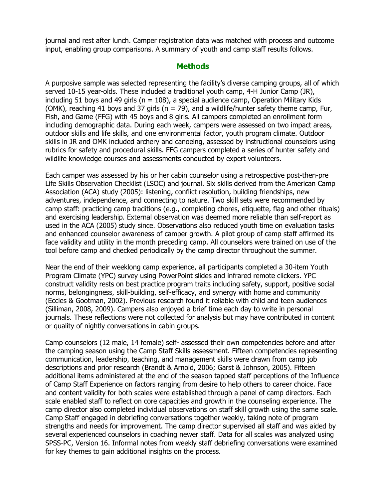journal and rest after lunch. Camper registration data was matched with process and outcome input, enabling group comparisons. A summary of youth and camp staff results follows.

#### **Methods**

A purposive sample was selected representing the facility's diverse camping groups, all of which served 10-15 year-olds. These included a traditional youth camp, 4-H Junior Camp (JR), including 51 boys and 49 girls ( $n = 108$ ), a special audience camp, Operation Military Kids (OMK), reaching 41 boys and 37 girls ( $n = 79$ ), and a wildlife/hunter safety theme camp, Fur, Fish, and Game (FFG) with 45 boys and 8 girls. All campers completed an enrollment form including demographic data. During each week, campers were assessed on two impact areas, outdoor skills and life skills, and one environmental factor, youth program climate. Outdoor skills in JR and OMK included archery and canoeing, assessed by instructional counselors using rubrics for safety and procedural skills. FFG campers completed a series of hunter safety and wildlife knowledge courses and assessments conducted by expert volunteers.

Each camper was assessed by his or her cabin counselor using a retrospective post-then-pre Life Skills Observation Checklist (LSOC) and journal. Six skills derived from the American Camp Association (ACA) study (2005): listening, conflict resolution, building friendships, new adventures, independence, and connecting to nature. Two skill sets were recommended by camp staff: practicing camp traditions (e.g., completing chores, etiquette, flag and other rituals) and exercising leadership. External observation was deemed more reliable than self-report as used in the ACA (2005) study since. Observations also reduced youth time on evaluation tasks and enhanced counselor awareness of camper growth. A pilot group of camp staff affirmed its face validity and utility in the month preceding camp. All counselors were trained on use of the tool before camp and checked periodically by the camp director throughout the summer.

Near the end of their weeklong camp experience, all participants completed a 30-item Youth Program Climate (YPC) survey using PowerPoint slides and infrared remote clickers. YPC construct validity rests on best practice program traits including safety, support, positive social norms, belongingness, skill-building, self-efficacy, and synergy with home and community (Eccles & Gootman, 2002). Previous research found it reliable with child and teen audiences (Silliman, 2008, 2009). Campers also enjoyed a brief time each day to write in personal journals. These reflections were not collected for analysis but may have contributed in content or quality of nightly conversations in cabin groups.

Camp counselors (12 male, 14 female) self- assessed their own competencies before and after the camping season using the Camp Staff Skills assessment. Fifteen competencies representing communication, leadership, teaching, and management skills were drawn from camp job descriptions and prior research (Brandt & Arnold, 2006; Garst & Johnson, 2005). Fifteen additional items administered at the end of the season tapped staff perceptions of the Influence of Camp Staff Experience on factors ranging from desire to help others to career choice. Face and content validity for both scales were established through a panel of camp directors. Each scale enabled staff to reflect on core capacities and growth in the counseling experience. The camp director also completed individual observations on staff skill growth using the same scale. Camp Staff engaged in debriefing conversations together weekly, taking note of program strengths and needs for improvement. The camp director supervised all staff and was aided by several experienced counselors in coaching newer staff. Data for all scales was analyzed using SPSS-PC, Version 16. Informal notes from weekly staff debriefing conversations were examined for key themes to gain additional insights on the process.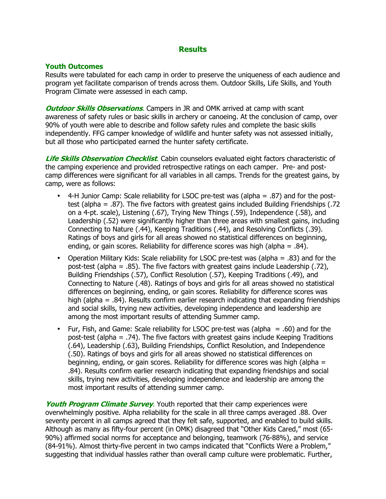#### **Results**

#### Youth Outcomes

Results were tabulated for each camp in order to preserve the uniqueness of each audience and program yet facilitate comparison of trends across them. Outdoor Skills, Life Skills, and Youth Program Climate were assessed in each camp.

**Outdoor Skills Observations.** Campers in JR and OMK arrived at camp with scant awareness of safety rules or basic skills in archery or canoeing. At the conclusion of camp, over 90% of youth were able to describe and follow safety rules and complete the basic skills independently. FFG camper knowledge of wildlife and hunter safety was not assessed initially, but all those who participated earned the hunter safety certificate.

Life Skills Observation Checklist. Cabin counselors evaluated eight factors characteristic of the camping experience and provided retrospective ratings on each camper. Pre- and postcamp differences were significant for all variables in all camps. Trends for the greatest gains, by camp, were as follows:

- 4-H Junior Camp: Scale reliability for LSOC pre-test was (alpha = .87) and for the posttest (alpha = .87). The five factors with greatest gains included Building Friendships (.72 on a 4-pt. scale), Listening (.67), Trying New Things (.59), Independence (.58), and Leadership (.52) were significantly higher than three areas with smallest gains, including Connecting to Nature (.44), Keeping Traditions (.44), and Resolving Conflicts (.39). Ratings of boys and girls for all areas showed no statistical differences on beginning, ending, or gain scores. Reliability for difference scores was high (alpha  $= .84$ ).
- Operation Military Kids: Scale reliability for LSOC pre-test was (alpha = .83) and for the post-test (alpha = .85). The five factors with greatest gains include Leadership (.72), Building Friendships (.57), Conflict Resolution (.57), Keeping Traditions (.49), and Connecting to Nature (.48). Ratings of boys and girls for all areas showed no statistical differences on beginning, ending, or gain scores. Reliability for difference scores was high (alpha = .84). Results confirm earlier research indicating that expanding friendships and social skills, trying new activities, developing independence and leadership are among the most important results of attending Summer camp.
- Fur, Fish, and Game: Scale reliability for LSOC pre-test was (alpha = .60) and for the post-test (alpha = .74). The five factors with greatest gains include Keeping Traditions (.64), Leadership (.63), Building Friendships, Conflict Resolution, and Independence (.50). Ratings of boys and girls for all areas showed no statistical differences on beginning, ending, or gain scores. Reliability for difference scores was high (alpha = .84). Results confirm earlier research indicating that expanding friendships and social skills, trying new activities, developing independence and leadership are among the most important results of attending summer camp.

**Youth Program Climate Survey.** Youth reported that their camp experiences were overwhelmingly positive. Alpha reliability for the scale in all three camps averaged .88. Over seventy percent in all camps agreed that they felt safe, supported, and enabled to build skills. Although as many as fifty-four percent (in OMK) disagreed that "Other Kids Cared," most (65- 90%) affirmed social norms for acceptance and belonging, teamwork (76-88%), and service (84-91%). Almost thirty-five percent in two camps indicated that "Conflicts Were a Problem," suggesting that individual hassles rather than overall camp culture were problematic. Further,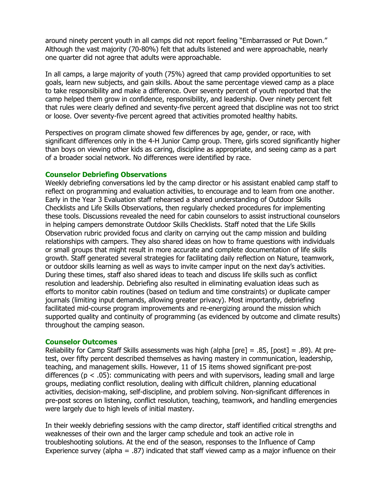around ninety percent youth in all camps did not report feeling "Embarrassed or Put Down." Although the vast majority (70-80%) felt that adults listened and were approachable, nearly one quarter did not agree that adults were approachable.

In all camps, a large majority of youth (75%) agreed that camp provided opportunities to set goals, learn new subjects, and gain skills. About the same percentage viewed camp as a place to take responsibility and make a difference. Over seventy percent of youth reported that the camp helped them grow in confidence, responsibility, and leadership. Over ninety percent felt that rules were clearly defined and seventy-five percent agreed that discipline was not too strict or loose. Over seventy-five percent agreed that activities promoted healthy habits.

Perspectives on program climate showed few differences by age, gender, or race, with significant differences only in the 4-H Junior Camp group. There, girls scored significantly higher than boys on viewing other kids as caring, discipline as appropriate, and seeing camp as a part of a broader social network. No differences were identified by race.

#### Counselor Debriefing Observations

Weekly debriefing conversations led by the camp director or his assistant enabled camp staff to reflect on programming and evaluation activities, to encourage and to learn from one another. Early in the Year 3 Evaluation staff rehearsed a shared understanding of Outdoor Skills Checklists and Life Skills Observations, then regularly checked procedures for implementing these tools. Discussions revealed the need for cabin counselors to assist instructional counselors in helping campers demonstrate Outdoor Skills Checklists. Staff noted that the Life Skills Observation rubric provided focus and clarity on carrying out the camp mission and building relationships with campers. They also shared ideas on how to frame questions with individuals or small groups that might result in more accurate and complete documentation of life skills growth. Staff generated several strategies for facilitating daily reflection on Nature, teamwork, or outdoor skills learning as well as ways to invite camper input on the next day's activities. During these times, staff also shared ideas to teach and discuss life skills such as conflict resolution and leadership. Debriefing also resulted in eliminating evaluation ideas such as efforts to monitor cabin routines (based on tedium and time constraints) or duplicate camper journals (limiting input demands, allowing greater privacy). Most importantly, debriefing facilitated mid-course program improvements and re-energizing around the mission which supported quality and continuity of programming (as evidenced by outcome and climate results) throughout the camping season.

#### Counselor Outcomes

Reliability for Camp Staff Skills assessments was high (alpha [pre] = .85, [post] = .89). At pretest, over fifty percent described themselves as having mastery in communication, leadership, teaching, and management skills. However, 11 of 15 items showed significant pre-post differences ( $p < .05$ ): communicating with peers and with supervisors, leading small and large groups, mediating conflict resolution, dealing with difficult children, planning educational activities, decision-making, self-discipline, and problem solving. Non-significant differences in pre-post scores on listening, conflict resolution, teaching, teamwork, and handling emergencies were largely due to high levels of initial mastery.

In their weekly debriefing sessions with the camp director, staff identified critical strengths and weaknesses of their own and the larger camp schedule and took an active role in troubleshooting solutions. At the end of the season, responses to the Influence of Camp Experience survey (alpha = .87) indicated that staff viewed camp as a major influence on their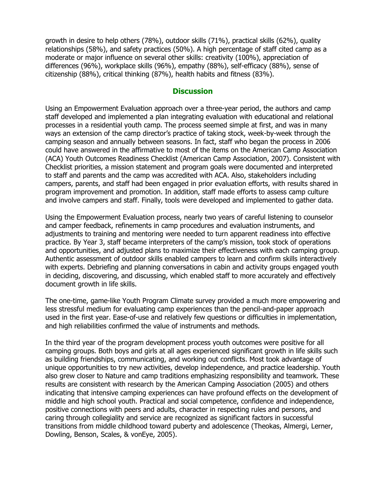growth in desire to help others (78%), outdoor skills (71%), practical skills (62%), quality relationships (58%), and safety practices (50%). A high percentage of staff cited camp as a moderate or major influence on several other skills: creativity (100%), appreciation of differences (96%), workplace skills (96%), empathy (88%), self-efficacy (88%), sense of citizenship (88%), critical thinking (87%), health habits and fitness (83%).

#### **Discussion**

Using an Empowerment Evaluation approach over a three-year period, the authors and camp staff developed and implemented a plan integrating evaluation with educational and relational processes in a residential youth camp. The process seemed simple at first, and was in many ways an extension of the camp director's practice of taking stock, week-by-week through the camping season and annually between seasons. In fact, staff who began the process in 2006 could have answered in the affirmative to most of the items on the American Camp Association (ACA) Youth Outcomes Readiness Checklist (American Camp Association, 2007). Consistent with Checklist priorities, a mission statement and program goals were documented and interpreted to staff and parents and the camp was accredited with ACA. Also, stakeholders including campers, parents, and staff had been engaged in prior evaluation efforts, with results shared in program improvement and promotion. In addition, staff made efforts to assess camp culture and involve campers and staff. Finally, tools were developed and implemented to gather data.

Using the Empowerment Evaluation process, nearly two years of careful listening to counselor and camper feedback, refinements in camp procedures and evaluation instruments, and adjustments to training and mentoring were needed to turn apparent readiness into effective practice. By Year 3, staff became interpreters of the camp's mission, took stock of operations and opportunities, and adjusted plans to maximize their effectiveness with each camping group. Authentic assessment of outdoor skills enabled campers to learn and confirm skills interactively with experts. Debriefing and planning conversations in cabin and activity groups engaged youth in deciding, discovering, and discussing, which enabled staff to more accurately and effectively document growth in life skills.

The one-time, game-like Youth Program Climate survey provided a much more empowering and less stressful medium for evaluating camp experiences than the pencil-and-paper approach used in the first year. Ease-of-use and relatively few questions or difficulties in implementation, and high reliabilities confirmed the value of instruments and methods.

In the third year of the program development process youth outcomes were positive for all camping groups. Both boys and girls at all ages experienced significant growth in life skills such as building friendships, communicating, and working out conflicts. Most took advantage of unique opportunities to try new activities, develop independence, and practice leadership. Youth also grew closer to Nature and camp traditions emphasizing responsibility and teamwork. These results are consistent with research by the American Camping Association (2005) and others indicating that intensive camping experiences can have profound effects on the development of middle and high school youth. Practical and social competence, confidence and independence, positive connections with peers and adults, character in respecting rules and persons, and caring through collegiality and service are recognized as significant factors in successful transitions from middle childhood toward puberty and adolescence (Theokas, Almergi, Lerner, Dowling, Benson, Scales, & vonEye, 2005).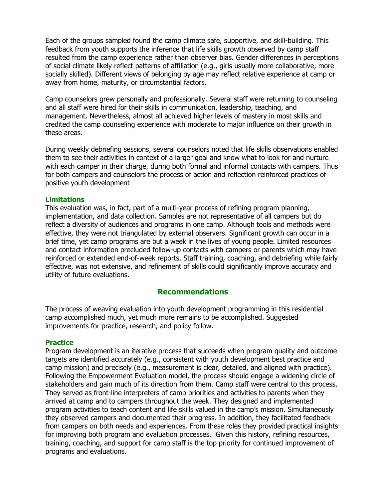Each of the groups sampled found the camp climate safe, supportive, and skill-building. This feedback from youth supports the inference that life skills growth observed by camp staff resulted from the camp experience rather than observer bias. Gender differences in perceptions of social climate likely reflect patterns of affiliation (e.g., girls usually more collaborative, more socially skilled). Different views of belonging by age may reflect relative experience at camp or away from home, maturity, or circumstantial factors.

Camp counselors grew personally and professionally. Several staff were returning to counseling and all staff were hired for their skills in communication, leadership, teaching, and management. Nevertheless, almost all achieved higher levels of mastery in most skills and credited the camp counseling experience with moderate to major influence on their growth in these areas.

During weekly debriefing sessions, several counselors noted that life skills observations enabled them to see their activities in context of a larger goal and know what to look for and nurture with each camper in their charge, during both formal and informal contacts with campers. Thus for both campers and counselors the process of action and reflection reinforced practices of positive youth development

#### Limitations

This evaluation was, in fact, part of a multi-year process of refining program planning, implementation, and data collection. Samples are not representative of all campers but do reflect a diversity of audiences and programs in one camp. Although tools and methods were effective, they were not triangulated by external observers. Significant growth can occur in a brief time, yet camp programs are but a week in the lives of young people. Limited resources and contact information precluded follow-up contacts with campers or parents which may have reinforced or extended end-of-week reports. Staff training, coaching, and debriefing while fairly effective, was not extensive, and refinement of skills could significantly improve accuracy and utility of future evaluations.

#### Recommendations

The process of weaving evaluation into youth development programming in this residential camp accomplished much, yet much more remains to be accomplished. Suggested improvements for practice, research, and policy follow.

#### **Practice**

Program development is an iterative process that succeeds when program quality and outcome targets are identified accurately (e.g., consistent with youth development best practice and camp mission) and precisely (e.g., measurement is clear, detailed, and aligned with practice). Following the Empowerment Evaluation model, the process should engage a widening circle of stakeholders and gain much of its direction from them. Camp staff were central to this process. They served as front-line interpreters of camp priorities and activities to parents when they arrived at camp and to campers throughout the week. They designed and implemented program activities to teach content and life skills valued in the camp's mission. Simultaneously they observed campers and documented their progress. In addition, they facilitated feedback from campers on both needs and experiences. From these roles they provided practical insights for improving both program and evaluation processes. Given this history, refining resources, training, coaching, and support for camp staff is the top priority for continued improvement of programs and evaluations.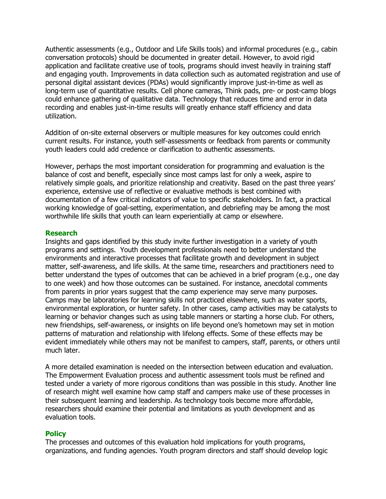Authentic assessments (e.g., Outdoor and Life Skills tools) and informal procedures (e.g., cabin conversation protocols) should be documented in greater detail. However, to avoid rigid application and facilitate creative use of tools, programs should invest heavily in training staff and engaging youth. Improvements in data collection such as automated registration and use of personal digital assistant devices (PDAs) would significantly improve just-in-time as well as long-term use of quantitative results. Cell phone cameras, Think pads, pre- or post-camp blogs could enhance gathering of qualitative data. Technology that reduces time and error in data recording and enables just-in-time results will greatly enhance staff efficiency and data utilization.

Addition of on-site external observers or multiple measures for key outcomes could enrich current results. For instance, youth self-assessments or feedback from parents or community youth leaders could add credence or clarification to authentic assessments.

However, perhaps the most important consideration for programming and evaluation is the balance of cost and benefit, especially since most camps last for only a week, aspire to relatively simple goals, and prioritize relationship and creativity. Based on the past three years' experience, extensive use of reflective or evaluative methods is best combined with documentation of a few critical indicators of value to specific stakeholders. In fact, a practical working knowledge of goal-setting, experimentation, and debriefing may be among the most worthwhile life skills that youth can learn experientially at camp or elsewhere.

#### Research

Insights and gaps identified by this study invite further investigation in a variety of youth programs and settings. Youth development professionals need to better understand the environments and interactive processes that facilitate growth and development in subject matter, self-awareness, and life skills. At the same time, researchers and practitioners need to better understand the types of outcomes that can be achieved in a brief program (e.g., one day to one week) and how those outcomes can be sustained. For instance, anecdotal comments from parents in prior years suggest that the camp experience may serve many purposes. Camps may be laboratories for learning skills not practiced elsewhere, such as water sports, environmental exploration, or hunter safety. In other cases, camp activities may be catalysts to learning or behavior changes such as using table manners or starting a horse club. For others, new friendships, self-awareness, or insights on life beyond one's hometown may set in motion patterns of maturation and relationship with lifelong effects. Some of these effects may be evident immediately while others may not be manifest to campers, staff, parents, or others until much later.

A more detailed examination is needed on the intersection between education and evaluation. The Empowerment Evaluation process and authentic assessment tools must be refined and tested under a variety of more rigorous conditions than was possible in this study. Another line of research might well examine how camp staff and campers make use of these processes in their subsequent learning and leadership. As technology tools become more affordable, researchers should examine their potential and limitations as youth development and as evaluation tools.

#### **Policy**

The processes and outcomes of this evaluation hold implications for youth programs, organizations, and funding agencies. Youth program directors and staff should develop logic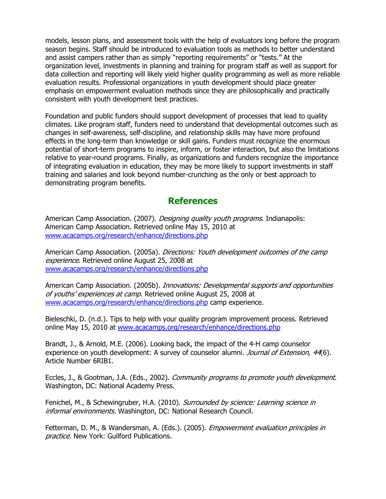models, lesson plans, and assessment tools with the help of evaluators long before the program season begins. Staff should be introduced to evaluation tools as methods to better understand and assist campers rather than as simply "reporting requirements" or "tests." At the organization level, investments in planning and training for program staff as well as support for data collection and reporting will likely yield higher quality programming as well as more reliable evaluation results. Professional organizations in youth development should place greater emphasis on empowerment evaluation methods since they are philosophically and practically consistent with youth development best practices.

Foundation and public funders should support development of processes that lead to quality climates. Like program staff, funders need to understand that developmental outcomes such as changes in self-awareness, self-discipline, and relationship skills may have more profound effects in the long-term than knowledge or skill gains. Funders must recognize the enormous potential of short-term programs to inspire, inform, or foster interaction, but also the limitations relative to year-round programs. Finally, as organizations and funders recognize the importance of integrating evaluation in education, they may be more likely to support investments in staff training and salaries and look beyond number-crunching as the only or best approach to demonstrating program benefits.

## **References**

American Camp Association. (2007). *Designing quality youth programs*. Indianapolis: American Camp Association. Retrieved online May 15, 2010 at www.acacamps.org/research/enhance/directions.php

American Camp Association. (2005a). *Directions: Youth development outcomes of the camp* experience. Retrieved online August 25, 2008 at www.acacamps.org/research/enhance/directions.php

American Camp Association. (2005b). *Innovations: Developmental supports and opportunities* of youths' experiences at camp. Retrieved online August 25, 2008 at www.acacamps.org/research/enhance/directions.php camp experience.

Bieleschki, D. (n.d.). Tips to help with your quality program improvement process. Retrieved online May 15, 2010 at www.acacamps.org/research/enhance/directions.php

Brandt, J., & Arnold, M.E. (2006). Looking back, the impact of the 4-H camp counselor experience on youth development: A survey of counselor alumni. Journal of Extension, 44(6). Article Number 6RIB1.

Eccles, J., & Gootman, J.A. (Eds., 2002). Community programs to promote youth development. Washington, DC: National Academy Press.

Fenichel, M., & Schewingruber, H.A. (2010). Surrounded by science: Learning science in informal environments. Washington, DC: National Research Council.

Fetterman, D. M., & Wandersman, A. (Eds.). (2005). *Empowerment evaluation principles in* practice. New York: Guilford Publications.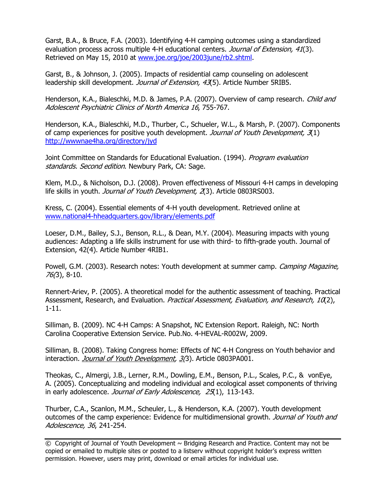Garst, B.A., & Bruce, F.A. (2003). Identifying 4-H camping outcomes using a standardized evaluation process across multiple 4-H educational centers. Journal of Extension, 41(3). Retrieved on May 15, 2010 at www.joe.org/joe/2003june/rb2.shtml.

Garst, B., & Johnson, J. (2005). Impacts of residential camp counseling on adolescent leadership skill development. *Journal of Extension, 43*(5). Article Number 5RIB5.

Henderson, K.A., Bialeschki, M.D. & James, P.A. (2007). Overview of camp research. *Child and* Adolescent Psychiatric Clinics of North America 16, 755-767.

Henderson, K.A., Bialeschki, M.D., Thurber, C., Schueler, W.L., & Marsh, P. (2007). Components of camp experiences for positive youth development. Journal of Youth Development, 3(1) http://wwwnae4ha.org/directory/jyd

Joint Committee on Standards for Educational Evaluation. (1994). *Program evaluation* standards. Second edition. Newbury Park, CA: Sage.

Klem, M.D., & Nicholson, D.J. (2008). Proven effectiveness of Missouri 4-H camps in developing life skills in youth. *Journal of Youth Development, 2*(3). Article 0803RS003.

Kress, C. (2004). Essential elements of 4-H youth development. Retrieved online at www.national4-hheadquarters.gov/library/elements.pdf

Loeser, D.M., Bailey, S.J., Benson, R.L., & Dean, M.Y. (2004). Measuring impacts with young audiences: Adapting a life skills instrument for use with third- to fifth-grade youth. Journal of Extension, 42(4). Article Number 4RIB1.

Powell, G.M. (2003). Research notes: Youth development at summer camp. *Camping Magazine*, 76(3), 8-10.

Rennert-Ariev, P. (2005). A theoretical model for the authentic assessment of teaching. Practical Assessment, Research, and Evaluation. Practical Assessment, Evaluation, and Research, 10(2), 1-11.

Silliman, B. (2009). NC 4-H Camps: A Snapshot, NC Extension Report. Raleigh, NC: North Carolina Cooperative Extension Service. Pub.No. 4-HEVAL-R002W, 2009.

Silliman, B. (2008). Taking Congress home: Effects of NC 4-H Congress on Youth behavior and interaction. Journal of Youth Development, 3(3). Article 0803PA001.

Theokas, C., Almergi, J.B., Lerner, R.M., Dowling, E.M., Benson, P.L., Scales, P.C., & vonEye, A. (2005). Conceptualizing and modeling individual and ecological asset components of thriving in early adolescence. Journal of Early Adolescence, 25(1), 113-143.

Thurber, C.A., Scanlon, M.M., Scheuler, L., & Henderson, K.A. (2007). Youth development outcomes of the camp experience: Evidence for multidimensional growth. Journal of Youth and Adolescence, 36, 241-254.

© Copyright of Journal of Youth Development ~ Bridging Research and Practice. Content may not be copied or emailed to multiple sites or posted to a listserv without copyright holder's express written permission. However, users may print, download or email articles for individual use.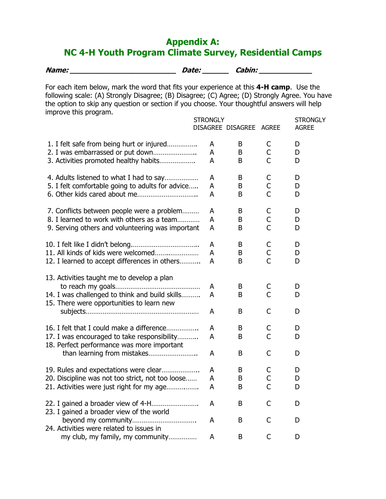## Appendix A: NC 4-H Youth Program Climate Survey, Residential Camps

| Name: | Date: | Cabin: |
|-------|-------|--------|
|       |       |        |

For each item below, mark the word that fits your experience at this 4-H camp. Use the following scale: (A) Strongly Disagree; (B) Disagree; (C) Agree; (D) Strongly Agree. You have the option to skip any question or section if you choose. Your thoughtful answers will help improve this program.

|                                                                                             | <b>STRONGLY</b> | DISAGREE DISAGREE AGREE |                | <b>STRONGLY</b><br><b>AGREE</b> |
|---------------------------------------------------------------------------------------------|-----------------|-------------------------|----------------|---------------------------------|
| 1. I felt safe from being hurt or injured                                                   | A               | B                       | С              | D                               |
| 2. I was embarrassed or put down<br>3. Activities promoted healthy habits                   | A<br>A          | B<br>B                  | C<br>C         | D<br>D                          |
| 4. Adults listened to what I had to say                                                     | A               | B                       | С              | D                               |
| 5. I felt comfortable going to adults for advice                                            | A<br>A          | B<br>B                  | С<br>C         | D<br>D                          |
| 7. Conflicts between people were a problem                                                  | A               | B                       | С              | D                               |
| 8. I learned to work with others as a team                                                  | A               | B                       | С              | D                               |
| 9. Serving others and volunteering was important                                            | A               | B                       | $\mathsf{C}$   | D                               |
|                                                                                             | A               | B                       | С              | D                               |
| 11. All kinds of kids were welcomed                                                         | A               | B                       | С              | D                               |
| 12. I learned to accept differences in others                                               | A               | B                       | $\overline{C}$ | D                               |
| 13. Activities taught me to develop a plan                                                  |                 |                         |                |                                 |
|                                                                                             | A               | B                       | C              | D                               |
| 14. I was challenged to think and build skills<br>15. There were opportunities to learn new | A               | B                       | $\mathsf{C}$   | D                               |
|                                                                                             | A               | B                       | C              | D                               |
| 16. I felt that I could make a difference                                                   | A               | B                       | C              | D                               |
| 17. I was encouraged to take responsibility<br>18. Perfect performance was more important   | A               | B                       | C              | D                               |
| than learning from mistakes                                                                 | A               | B                       | C              | D                               |
| 19. Rules and expectations were clear                                                       | A               | B                       | С              | D                               |
| 20. Discipline was not too strict, not too loose                                            | A               | B                       | С              | D                               |
| 21. Activities were just right for my age                                                   | Α               | B                       | C              | D                               |
| 22. I gained a broader view of 4-H<br>23. I gained a broader view of the world              | A               | B                       | C              | D                               |
| 24. Activities were related to issues in                                                    | A               | B                       | C              | D                               |
| my club, my family, my community                                                            | A               | B                       | C              | D                               |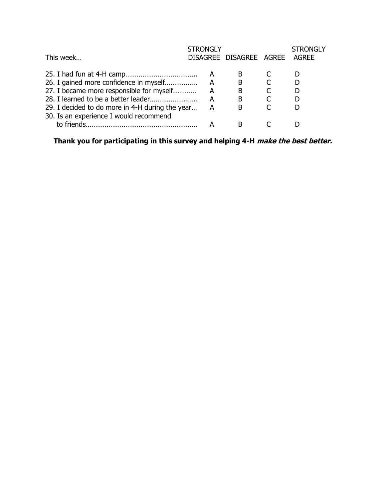| This week                                       | <b>STRONGLY</b> | DISAGREE DISAGREE AGREE | <b>STRONGLY</b><br><b>AGREE</b> |
|-------------------------------------------------|-----------------|-------------------------|---------------------------------|
|                                                 |                 |                         |                                 |
|                                                 | A               | в                       |                                 |
| 26. I gained more confidence in myself          | А               | B                       |                                 |
| 27. I became more responsible for myself        | А               | Β                       |                                 |
|                                                 | А               | B                       |                                 |
| 29. I decided to do more in 4-H during the year |                 | в                       |                                 |
| 30. Is an experience I would recommend          |                 |                         |                                 |
| to friends.                                     |                 |                         |                                 |

Thank you for participating in this survey and helping 4-H *make the best better.*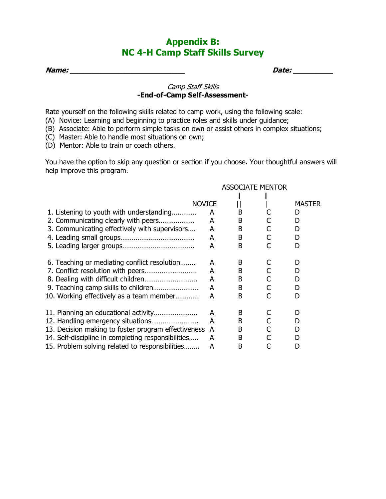## Appendix B: NC 4-H Camp Staff Skills Survey

Name: \_\_\_\_\_\_\_\_\_\_\_\_\_\_\_\_\_\_\_\_\_\_\_\_\_\_ Date: \_\_\_\_\_\_\_\_\_

#### Camp Staff Skills -End-of-Camp Self-Assessment-

Rate yourself on the following skills related to camp work, using the following scale:

- (A) Novice: Learning and beginning to practice roles and skills under guidance;
- (B) Associate: Able to perform simple tasks on own or assist others in complex situations;
- (C) Master: Able to handle most situations on own;
- (D) Mentor: Able to train or coach others.

You have the option to skip any question or section if you choose. Your thoughtful answers will help improve this program.

|                                                     |   | <b>ASSOCIATE MENTOR</b> |  |               |  |
|-----------------------------------------------------|---|-------------------------|--|---------------|--|
|                                                     |   |                         |  |               |  |
| <b>NOVICE</b>                                       |   |                         |  | <b>MASTER</b> |  |
| 1. Listening to youth with understanding            | A | B                       |  | D             |  |
| 2. Communicating clearly with peers                 | A | B                       |  | D             |  |
| 3. Communicating effectively with supervisors       | A | B                       |  | D             |  |
|                                                     | A | B                       |  | D             |  |
|                                                     | A | B                       |  | D             |  |
| 6. Teaching or mediating conflict resolution        | A | B                       |  | D             |  |
|                                                     | A | B                       |  | D             |  |
|                                                     | A | B                       |  | D             |  |
|                                                     | A | B                       |  | D             |  |
| 10. Working effectively as a team member            | A | B                       |  | D             |  |
|                                                     | A | B                       |  | D             |  |
|                                                     | A | B                       |  | D             |  |
| 13. Decision making to foster program effectiveness | A | B                       |  | D             |  |
| 14. Self-discipline in completing responsibilities  | A | B                       |  | D             |  |
| 15. Problem solving related to responsibilities     | A | B                       |  | D             |  |